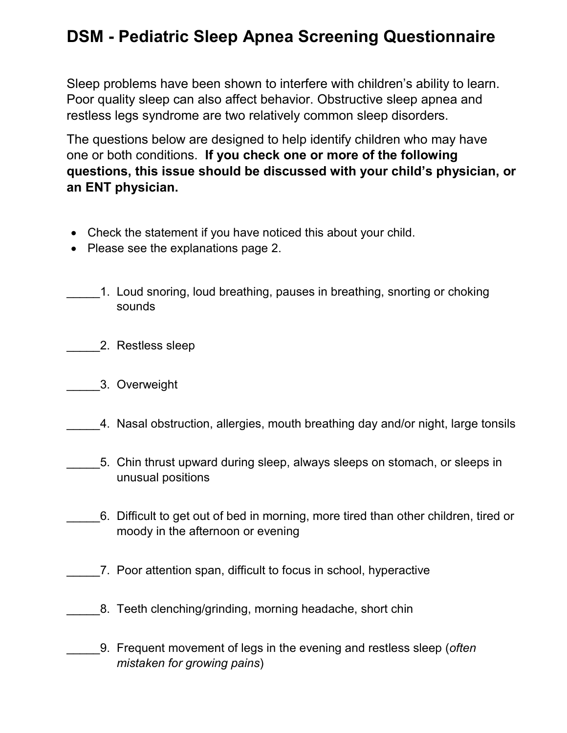## **DSM - Pediatric Sleep Apnea Screening Questionnaire**

Sleep problems have been shown to interfere with children's ability to learn. Poor quality sleep can also affect behavior. Obstructive sleep apnea and restless legs syndrome are two relatively common sleep disorders.

The questions below are designed to help identify children who may have one or both conditions. **If you check one or more of the following questions, this issue should be discussed with your child's physician, or an ENT physician.**

- Check the statement if you have noticed this about your child.
- Please see the explanations page 2.
- \_\_\_\_\_1. Loud snoring, loud breathing, pauses in breathing, snorting or choking sounds
	- \_\_\_\_\_2. Restless sleep
- \_\_\_\_\_3. Overweight
	- \_\_\_\_\_4. Nasal obstruction, allergies, mouth breathing day and/or night, large tonsils
- \_\_\_\_\_5. Chin thrust upward during sleep, always sleeps on stomach, or sleeps in unusual positions
- \_\_\_\_\_6. Difficult to get out of bed in morning, more tired than other children, tired or moody in the afternoon or evening
- \_\_\_\_\_7. Poor attention span, difficult to focus in school, hyperactive
	- 8. Teeth clenching/grinding, morning headache, short chin
	- \_\_\_\_\_9. Frequent movement of legs in the evening and restless sleep (*often mistaken for growing pains*)